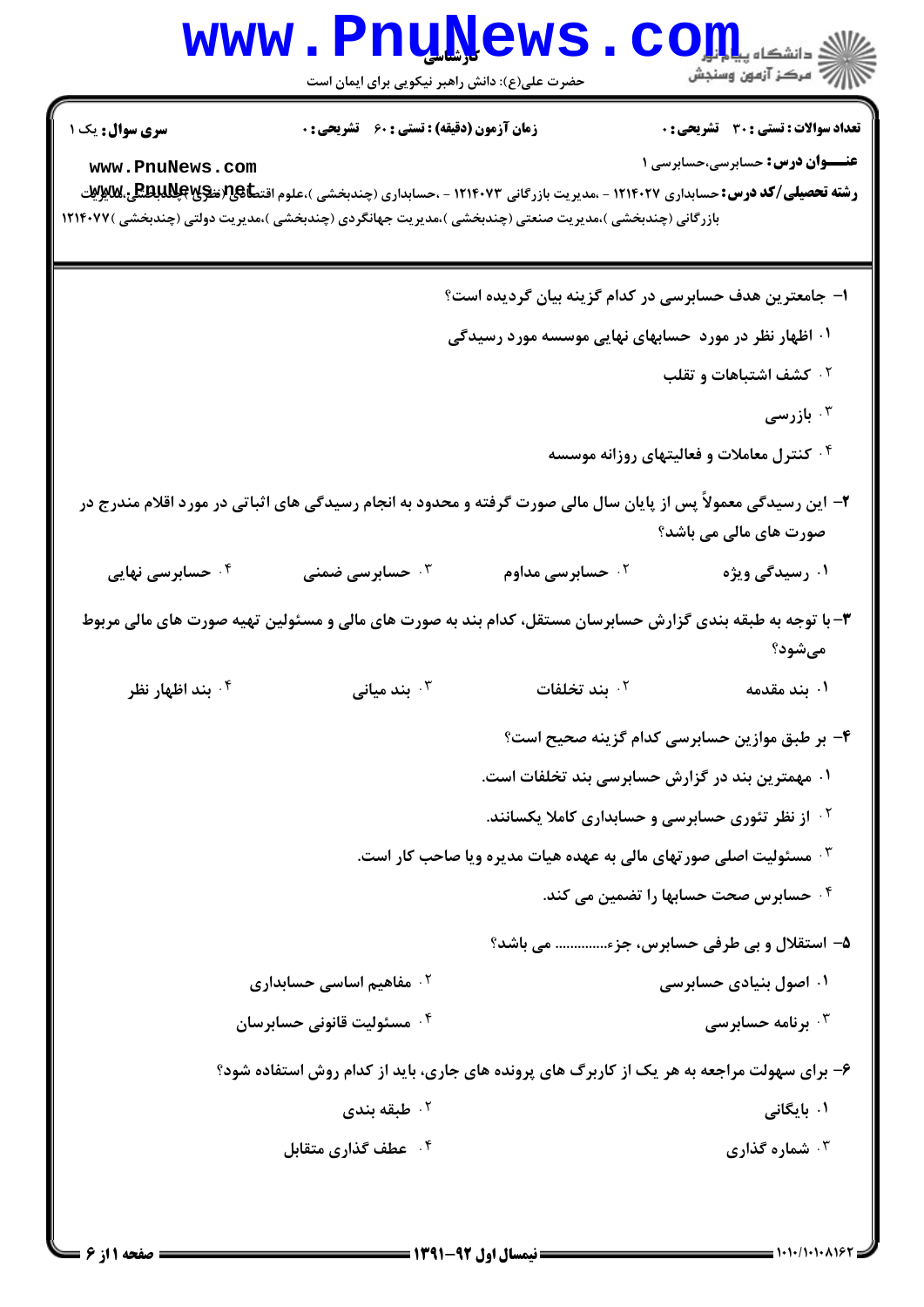|                                                                                                                                                    | <b>www.PnuNews</b><br>حضرت علی(ع): دانش راهبر نیکویی برای ایمان است                        |                                                      | $\mathbf{CO}_{\mathrm{H}_{\mathrm{int}}^{\mathrm{L}_{\mathrm{int}}}}$<br>أأآت مركز آزمون وسنجش                                                                                                                                              |
|----------------------------------------------------------------------------------------------------------------------------------------------------|--------------------------------------------------------------------------------------------|------------------------------------------------------|---------------------------------------------------------------------------------------------------------------------------------------------------------------------------------------------------------------------------------------------|
| <b>سری سوال :</b> یک ۱<br>www.PnuNews.com<br>بازرگانی (چندبخشی )،مدیریت صنعتی (چندبخشی )،مدیریت جهانگردی (چندبخشی )،مدیریت دولتی (چندبخشی )۱۲۱۴۰۷۷ | <b>زمان آزمون (دقیقه) : تستی : 60 ٪ تشریحی : 0</b>                                         |                                                      | <b>تعداد سوالات : تستی : 30 ٪ تشریحی : 0</b><br><b>عنـــوان درس:</b> حسابرسي،حسابرسي 1<br><b>رشته تحصیلی/کد درس:</b> حسابداری ۱۲۱۴۰۲۷ - ،مدیریت بازرگانی ۱۲۱۴۰۷۳ - ،حسابداری (چندبخشی )،علوم اقت <b>طا&amp;ت(تنگیاپانلدانگلی،للایپو</b> یات |
|                                                                                                                                                    |                                                                                            |                                                      | ا– جامعترین هدف حسابرسی در کدام گزینه بیان گردیده است؟                                                                                                                                                                                      |
|                                                                                                                                                    |                                                                                            | ۰۱ اظهار نظر در مورد حسابهای نهایی موسسه مورد رسیدگی |                                                                                                                                                                                                                                             |
|                                                                                                                                                    |                                                                                            |                                                      | <b>7 کشف اشتباهات و تقلب</b>                                                                                                                                                                                                                |
|                                                                                                                                                    |                                                                                            |                                                      | ا بازرسی $\cdot^{\mathsf{r}}$                                                                                                                                                                                                               |
|                                                                                                                                                    |                                                                                            |                                                      | <sup>۰۴</sup> کنترل معاملات و فعالیتهای روزانه موسسه                                                                                                                                                                                        |
| ۲– این رسیدگی معمولاً پس از پایان سال مالی صورت گرفته و محدود به انجام رسیدگی های اثباتی در مورد اقلام مندرج در                                    |                                                                                            |                                                      | صورت های مالی می باشد؟                                                                                                                                                                                                                      |
| ۰۴ حسابرسی نهایی                                                                                                                                   | حسابرسی ضمنی $\cdot^{\mathsf{v}}$                                                          | ۰ <sup>۲</sup> حسابرسی مداوم <b>۲</b>                | ۰۱ رسیدگی ویژه                                                                                                                                                                                                                              |
| ۳- با توجه به طبقه بندی گزارش حسابرسان مستقل، کدام بند به صورت های مالی و مسئولین تهیه صورت های مالی مربوط                                         |                                                                                            |                                                      | مىشود؟                                                                                                                                                                                                                                      |
| ۰۴ بند اظهار نظر                                                                                                                                   | بند میانی $\cdot$ $^{\circ}$                                                               | ۰ <sup>۲</sup> بند تخلفات                            | ۰۱ بند مقدمه                                                                                                                                                                                                                                |
|                                                                                                                                                    |                                                                                            |                                                      | ۴– بر طبق موازین حسابرسی کدام گزینه صحیح است؟                                                                                                                                                                                               |
|                                                                                                                                                    |                                                                                            | ۰۱ مهمترین بند در گزارش حسابرسی بند تخلفات است.      |                                                                                                                                                                                                                                             |
|                                                                                                                                                    |                                                                                            |                                                      | <sup>۲.</sup> از نظر تئوری حسابرسی و حسابداری کاملا یکسانند.                                                                                                                                                                                |
|                                                                                                                                                    |                                                                                            |                                                      | ۰ <sup>۳</sup> مسئولیت اصلی صورتهای مالی به عهده هیات مدیره ویا صاحب کار است.                                                                                                                                                               |
|                                                                                                                                                    |                                                                                            |                                                      | ۰۴ حسابرس صحت حسابها را تضمین می کند.                                                                                                                                                                                                       |
|                                                                                                                                                    |                                                                                            |                                                      | ۵– استقلال و بی طرفی حسابرس، جزء می باشد؟                                                                                                                                                                                                   |
|                                                                                                                                                    | ۰ <sup>۲</sup> مفاهیم اساسی حسابداری                                                       |                                                      | ۰۱ اصول بنیادی حسابرسی                                                                                                                                                                                                                      |
|                                                                                                                                                    | ۰ <sup>۴</sup> مسئوليت قانوني حسابرسان                                                     |                                                      | برنامه حسابرسی $\cdot^{\mathsf{w}}$                                                                                                                                                                                                         |
|                                                                                                                                                    | ۶- برای سهولت مراجعه به هر یک از کاربرگ های پرونده های جاری، باید از کدام روش استفاده شود؟ |                                                      |                                                                                                                                                                                                                                             |
|                                                                                                                                                    | ۰۲ طبقه بندی                                                                               |                                                      | ۰۱ بایگانی                                                                                                                                                                                                                                  |
|                                                                                                                                                    | ۰۴ عطف گذاری متقابل                                                                        |                                                      | ۰۳ شماره گذاری                                                                                                                                                                                                                              |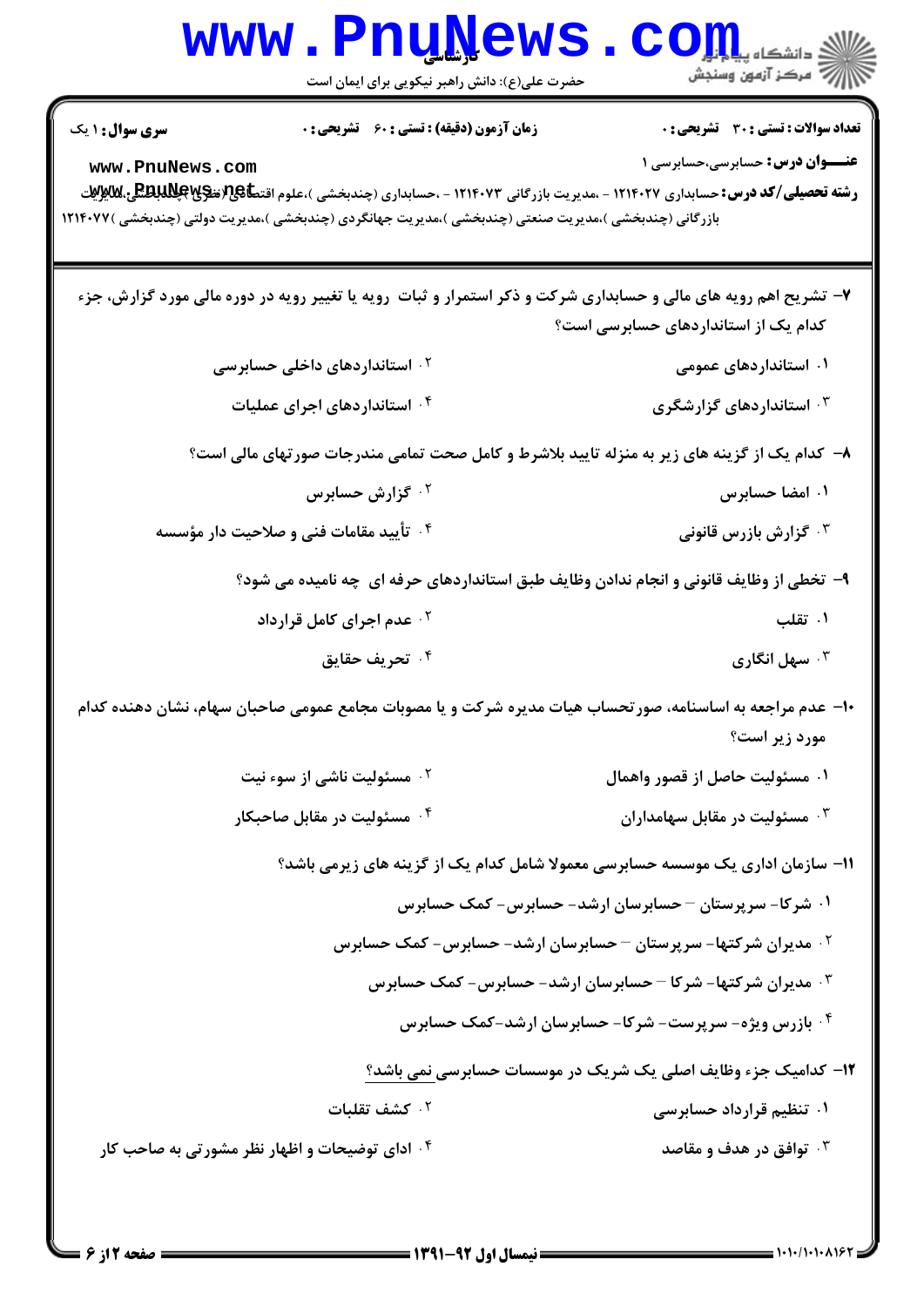| <b>WWW</b>                                                                                            | <u>. Funnemp</u><br>حضرت علی(ع): دانش راهبر نیکویی برای ایمان است | رد دانشڪاه پ <b>یا واول</b><br>ا <i>ر</i> ≫ مرکز آزمون وسنجش                                                                                                                                                                            |
|-------------------------------------------------------------------------------------------------------|-------------------------------------------------------------------|-----------------------------------------------------------------------------------------------------------------------------------------------------------------------------------------------------------------------------------------|
| <b>سری سوال : ۱ یک</b><br>www.PnuNews.com                                                             | <b>زمان آزمون (دقیقه) : تستی : 60 ٪ تشریحی : 0</b>                | <b>تعداد سوالات : تستی : 30 ٪ تشریحی : 0</b><br><b>عنـــوان درس:</b> حسابرسی،حسابرسی ۱<br><b>رشته تحصیلی/کد درس:</b> حسابداری ۱۲۱۴۰۲۷ - ،مدیریت بازرگانی ۱۲۱۴۰۷۳ - ،حسابداری (چندبخشی )،علوم اقت <b>طا&amp;ت(تنگا@للدانگلگی،للایونی</b> |
| بازرگانی (چندبخشی )،مدیریت صنعتی (چندبخشی )،مدیریت جهانگردی (چندبخشی )،مدیریت دولتی (چندبخشی )۱۲۱۴۰۷۷ |                                                                   |                                                                                                                                                                                                                                         |
|                                                                                                       |                                                                   | ۷- تشریح اهم رویه های مالی و حسابداری شرکت و ذکر استمرار و ثبات رویه یا تغییر رویه در دوره مالی مورد گزارش، جزء<br>کدام یک از استانداردهای حسابرسی است؟                                                                                 |
|                                                                                                       | <sup>۲ .</sup> استانداردهای داخلی حسابرسی                         | ۰۱ استانداردهای عمومی                                                                                                                                                                                                                   |
|                                                                                                       | ۰۴ استاندار دهای اجرای عملیات                                     | ۰۳ استانداردهای گزارشگری                                                                                                                                                                                                                |
|                                                                                                       |                                                                   | ۸– کدام یک از گزینه های زیر به منزله تایید بلاشرط و کامل صحت تمامی مندرجات صورتهای مالی است؟                                                                                                                                            |
|                                                                                                       | ۰ <sup>۲</sup> گزارش حسابرس                                       | ۰۱ امضا حسابرس                                                                                                                                                                                                                          |
|                                                                                                       | ۰۴ تأیید مقامات فنی و صلاحیت دار مؤسسه                            | رارش بازرس قانونی $\cdot$ ۲                                                                                                                                                                                                             |
|                                                                                                       |                                                                   | ۹- تخطی از وظایف قانونی و انجام ندادن وظایف طبق استانداردهای حرفه ای چه نامیده می شود؟                                                                                                                                                  |
|                                                                                                       | <sup>۲</sup> ۰ عدم اجرای کامل قرارداد                             | ۰۱ تقلب                                                                                                                                                                                                                                 |
|                                                                                                       | ۰۴ تحریف حقایق                                                    | ۰ <sup>۳</sup> سهل انگاری                                                                                                                                                                                                               |
|                                                                                                       |                                                                   | +ا– عدم مراجعه به اساسنامه، صورتحساب هیات مدیره شرکت و یا مصوبات مجامع عمومی صاحبان سهام، نشان دهنده کدام<br>مورد زیر است؟                                                                                                              |
|                                                                                                       | ۰ <sup>۲</sup> مسئولیت ناشی از سوء نیت                            | ۰۱ مسئولیت حاصل از قصور واهمال                                                                                                                                                                                                          |
|                                                                                                       | ۰ <sup>۴</sup> مسئولیت در مقابل صاحبکار                           | ۰ <sup>۳</sup> مسئولیت در مقابل سهامداران                                                                                                                                                                                               |
|                                                                                                       |                                                                   | 1۱– سازمان اداری یک موسسه حسابرسی معمولا شامل کدام یک از گزینه های زیرمی باشد؟                                                                                                                                                          |
|                                                                                                       |                                                                   | ۰۱ شرکا- سرپرستان – حسابرسان ارشد- حسابرس- کمک حسابرس                                                                                                                                                                                   |
|                                                                                                       |                                                                   | <b>۲۰ مدیران شرکتها- سرپرستان – حسابرسان ارشد- حسابرس- کمک حسابرس</b>                                                                                                                                                                   |
|                                                                                                       |                                                                   | <b>۳ . مدیران شرکتها- شرکا – حسابرسان ارشد- حسابرس- کمک حسابرس</b>                                                                                                                                                                      |
|                                                                                                       |                                                                   | ۰۴ بازرس ویژه- سرپرست- شرکا- حسابرسان ارشد-کمک حسابرس                                                                                                                                                                                   |
|                                                                                                       |                                                                   | ۱۲- کدامیک جزء وظایف اصلی یک شریک در موسسات حسابرسی نمی باشد؟                                                                                                                                                                           |
|                                                                                                       | ۰۲ کشف تقلبات                                                     | ۰۱ تنظیم قرارداد حسابرسی                                                                                                                                                                                                                |
| <b>۴ وای توضیحات و اظهار نظر مشورتی به صاحب کار</b> ۴                                                 |                                                                   | ۰ <sup>۳</sup> توافق در هدف و مقاصد                                                                                                                                                                                                     |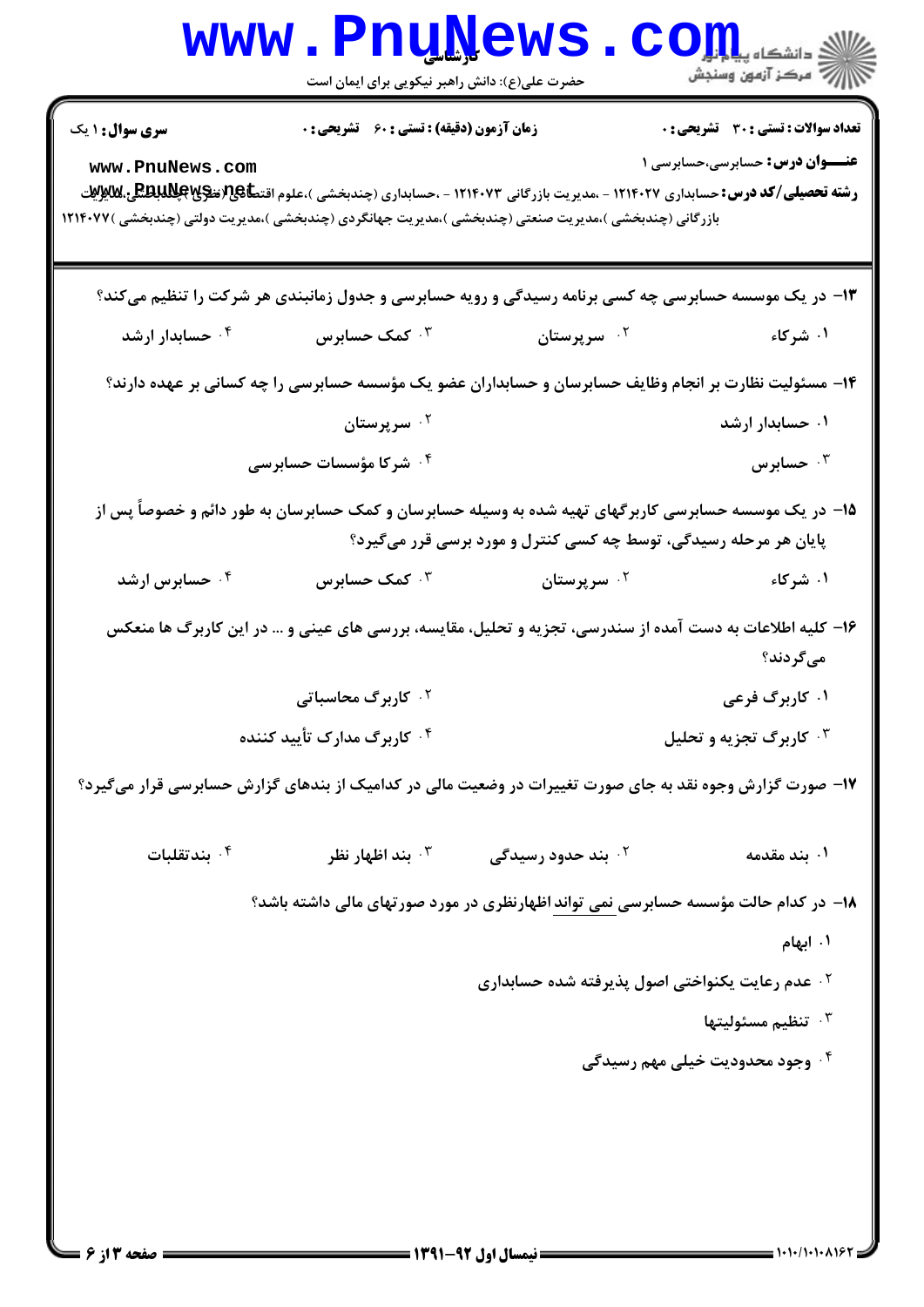|                                                                                                                          | <b>www.PnuNews</b>                                 |                                                                                                                                                                            | $\mathbf{C}\mathbf{O}\mathbf{H}$             |  |
|--------------------------------------------------------------------------------------------------------------------------|----------------------------------------------------|----------------------------------------------------------------------------------------------------------------------------------------------------------------------------|----------------------------------------------|--|
|                                                                                                                          | حضرت علی(ع): دانش راهبر نیکویی برای ایمان است      |                                                                                                                                                                            | William مرکز آزمون وسنجش                     |  |
| <b>سری سوال : ۱ یک</b>                                                                                                   | <b>زمان آزمون (دقیقه) : تستی : 60 ٪ تشریحی : 0</b> |                                                                                                                                                                            | <b>تعداد سوالات : تستی : 30 ٪ تشریحی : 0</b> |  |
| www.PnuNews.com<br>بازرگانی (چندبخشی )،مدیریت صنعتی (چندبخشی )،مدیریت جهانگردی (چندبخشی )،مدیریت دولتی (چندبخشی )۱۲۱۴۰۷۷ |                                                    | <b>رشته تحصیلی/کد درس:</b> حسابداری ۱۲۱۴۰۲۷ - ،مدیریت بازرگانی ۱۲۱۴۰۷۳ - ،حسابداری (چندبخشی )،علوم اقت <b>طا&amp;ت(تنگلاباتلگی،للابلات</b> ی                               | <b>عنـــوان درس:</b> حسابرسي،حسابرسي ۱       |  |
|                                                                                                                          |                                                    | ۱۳- در یک موسسه حسابرسی چه کسی برنامه رسیدگی و رویه حسابرسی و جدول زمانبندی هر شرکت را تنظیم میکند؟                                                                        |                                              |  |
| ۰۴ حسابدار ارشد                                                                                                          | ۰۳ کمک حسابرس                                      | ۰ <sup>۲</sup> سرپرستان                                                                                                                                                    | ۰۱ شرکاء                                     |  |
|                                                                                                                          |                                                    | ۱۴- مسئولیت نظارت بر انجام وظایف حسابرسان و حسابداران عضو یک مؤسسه حسابرسی را چه کسانی بر عهده دارند؟                                                                      |                                              |  |
|                                                                                                                          | ۰ <sup>۲</sup> سرپرستان                            |                                                                                                                                                                            | ۰۱ حسابدار ارشد                              |  |
|                                                                                                                          | ۰۴ شرکا مؤسسات حسابرسی                             |                                                                                                                                                                            | جسابرس $\cdot$                               |  |
|                                                                                                                          |                                                    | ۱۵– در یک موسسه حسابرسی کاربرگهای تهیه شده به وسیله حسابرسان و کمک حسابرسان به طور دائم و خصوصاً پس از<br>پایان هر مرحله رسیدگی، توسط چه کسی کنترل و مورد برسی قرر میگیرد؟ |                                              |  |
| ۰۴ حسابرس ارشد                                                                                                           | ۰۳ کمک حسابرس                                      | ۰ <sup>۲</sup> سرپرستان                                                                                                                                                    | ۰۱ شرکاء                                     |  |
|                                                                                                                          |                                                    | ۱۶– کلیه اطلاعات به دست آمده از سندرسی، تجزیه و تحلیل، مقایسه، بررسی های عینی و … در این کاربرگ ها منعکس                                                                   | میگردند؟                                     |  |
|                                                                                                                          | ۰ <sup>۲</sup> کاربرگ محاسباتی                     |                                                                                                                                                                            | ۰۱ کاربرگ فرعی                               |  |
|                                                                                                                          | ۰۴ کاربرگ مدارک تأیید کننده                        |                                                                                                                                                                            | <b>۰۳ کاربرگ تجزیه و تحلیل</b>               |  |
| ۱۷- صورت گزارش وجوه نقد به جای صورت تغییرات در وضعیت مالی در کدامیک از بندهای گزارش حسابرسی قرار میگیرد؟                 |                                                    |                                                                                                                                                                            |                                              |  |
| بندتقلبات $\cdot$ ۴                                                                                                      | بند اظهار نظر "                                    | <sup>7</sup> . بند حدود رسیدگی                                                                                                                                             | ۰۱ بند مقدمه                                 |  |
|                                                                                                                          |                                                    | ۱۸– در کدام حالت مؤسسه حسابرسی نمی تواند اظهارنظری در مورد صورتهای مالی داشته باشد؟                                                                                        |                                              |  |
|                                                                                                                          |                                                    |                                                                                                                                                                            | ۰۱ ابهام                                     |  |
|                                                                                                                          |                                                    | <sup>7 .</sup> عدم رعايت يكنواختي اصول پذيرفته شده حسابداري                                                                                                                |                                              |  |
|                                                                                                                          |                                                    |                                                                                                                                                                            | ننظيم مسئوليتها $\cdot^{\mathsf{v}}$         |  |
|                                                                                                                          |                                                    |                                                                                                                                                                            | ۰۴ وجود محدودیت خیلی مهم رسیدگی              |  |
|                                                                                                                          |                                                    |                                                                                                                                                                            |                                              |  |
|                                                                                                                          |                                                    |                                                                                                                                                                            |                                              |  |
|                                                                                                                          |                                                    |                                                                                                                                                                            |                                              |  |
|                                                                                                                          |                                                    |                                                                                                                                                                            |                                              |  |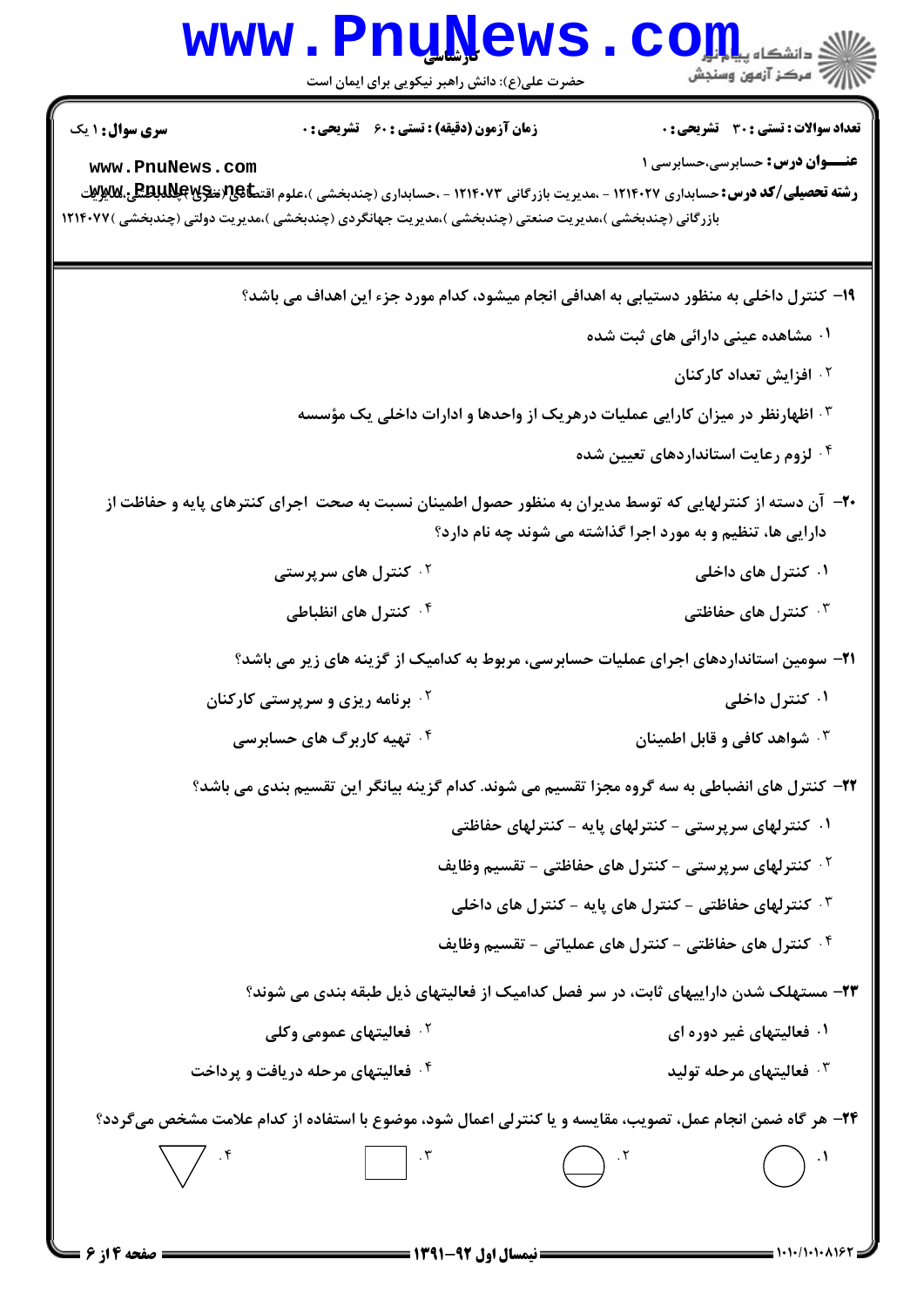| <b>WWW</b>                                                                                                                                 | <u>LIIÑÏAMP</u><br>حضرت علی(ع): دانش راهبر نیکویی برای ایمان است                      |                                                                                                                                                                                                                                                                      | ه دانشگاه پ <b>یاج تر</b><br>رج ' مرڪز آزمون وسنڊش                                                                                                                                                                                       |
|--------------------------------------------------------------------------------------------------------------------------------------------|---------------------------------------------------------------------------------------|----------------------------------------------------------------------------------------------------------------------------------------------------------------------------------------------------------------------------------------------------------------------|------------------------------------------------------------------------------------------------------------------------------------------------------------------------------------------------------------------------------------------|
| سری سوال: ۱ یک<br>www.PnuNews.com<br>بازرگانی (چندبخشی )،مدیریت صنعتی (چندبخشی )،مدیریت جهانگردی (چندبخشی )،مدیریت دولتی (چندبخشی )۱۲۱۴۰۷۷ | <b>زمان آزمون (دقیقه) : تستی : 60 گشریحی : 0</b>                                      |                                                                                                                                                                                                                                                                      | <b>تعداد سوالات : تستی : 30 ٪ تشریحی : 0</b><br><b>عنـــوان درس:</b> حسابرسي،حسابرسي 1<br><b>رشته تحصیلی/کد درس:</b> حسابداری ۱۲۱۴۰۲۷ - ،مدیریت بازرگانی ۱۲۱۴۰۷۳ - ،حسابداری (چندبخشی )،علوم اقت <b>عا&amp;ت(تنگا@للدانگلگی،للایوایت</b> |
|                                                                                                                                            |                                                                                       | ۰۳ اظهارنظر در میزان کارایی عملیات درهریک از واحدها و ادارات داخلی یک مؤسسه                                                                                                                                                                                          | ۱۹– کنترل داخلی به منظور دستیابی به اهدافی انجام میشود، کدام مورد جزء این اهداف می باشد؟<br>۰۱ مشاهده عینی دارائی های ثبت شده<br>۰ <sup>۲</sup> افزایش تعداد کارکنان                                                                     |
|                                                                                                                                            |                                                                                       | دارایی ها، تنظیم و به مورد اجرا گذاشته می شوند چه نام دارد؟                                                                                                                                                                                                          | ۰۴ لزوم رعایت استانداردهای تعیین شده<br>+۲- آن دسته از کنترلهایی که توسط مدیران به منظور حصول اطمینان نسبت به صحت اجرای کنترهای پایه و حفاظت از                                                                                          |
|                                                                                                                                            | <sup>۲ .</sup> کنترل های سرپرستی<br>۰۴ کنترل های انظباطی                              |                                                                                                                                                                                                                                                                      | ۰۱ کنترل های داخلی<br>نترل های حفاظتی $\cdot$ ۳<br><b>۲۱</b> - سومین استانداردهای اجرای عملیات حسابرسی، مربوط به کدامیک از گزینه های زیر می باشد؟                                                                                        |
|                                                                                                                                            | <b>گ برنامه ریزی و سرپرستی کارکنان</b><br>۰۴ تهیه کاربرگ های حسابرسی                  |                                                                                                                                                                                                                                                                      | ۰۱ کنترل داخلی<br>۰ <sup>۳</sup> شواهد کافی و قابل اطمینان<br>۲۲– کنترل های انضباطی به سه گروه مجزا تقسیم می شوند. کدام گزینه بیانگر این تقسیم بندی می باشد؟                                                                             |
|                                                                                                                                            |                                                                                       | ۰۱ کنترلهای سرپرستی - کنترلهای پایه - کنترلهای حفاظتی<br>$^{-1}$ کنترلهای سرپرستی - کنترل های حفاظتی - تقسیم وظایف $^{-1}$<br>۰ <sup>۳</sup> کنترلهای حفاظتی - کنترل های پایه - کنترل های داخلی<br><sup>۴</sup> ۰ كنترل هاى حفاظتى - كنترل هاى عملياتى - تقسيم وظايف |                                                                                                                                                                                                                                          |
|                                                                                                                                            | <sup>۲</sup> ۰ فعالیتهای عمومی وکلی<br><sup>۴</sup> ۰ فعالیتهای مرحله دریافت و پرداخت |                                                                                                                                                                                                                                                                      | ۲۳– مستهلک شدن داراییهای ثابت، در سر فصل کدامیک از فعالیتهای ذیل طبقه بندی می شوند؟<br>۰۱ فعالیتهای غیر دوره ای<br>شام نولیتهای مرحله تولید $\cdot$                                                                                      |
|                                                                                                                                            |                                                                                       |                                                                                                                                                                                                                                                                      | <b>۲۴</b> - هر گاه ضمن انجام عمل، تصویب، مقایسه و یا کنترلی اعمال شود، موضوع با استفاده از کدام علامت مشخص میگردد؟                                                                                                                       |

۰/۱۰۱۰۸۱۶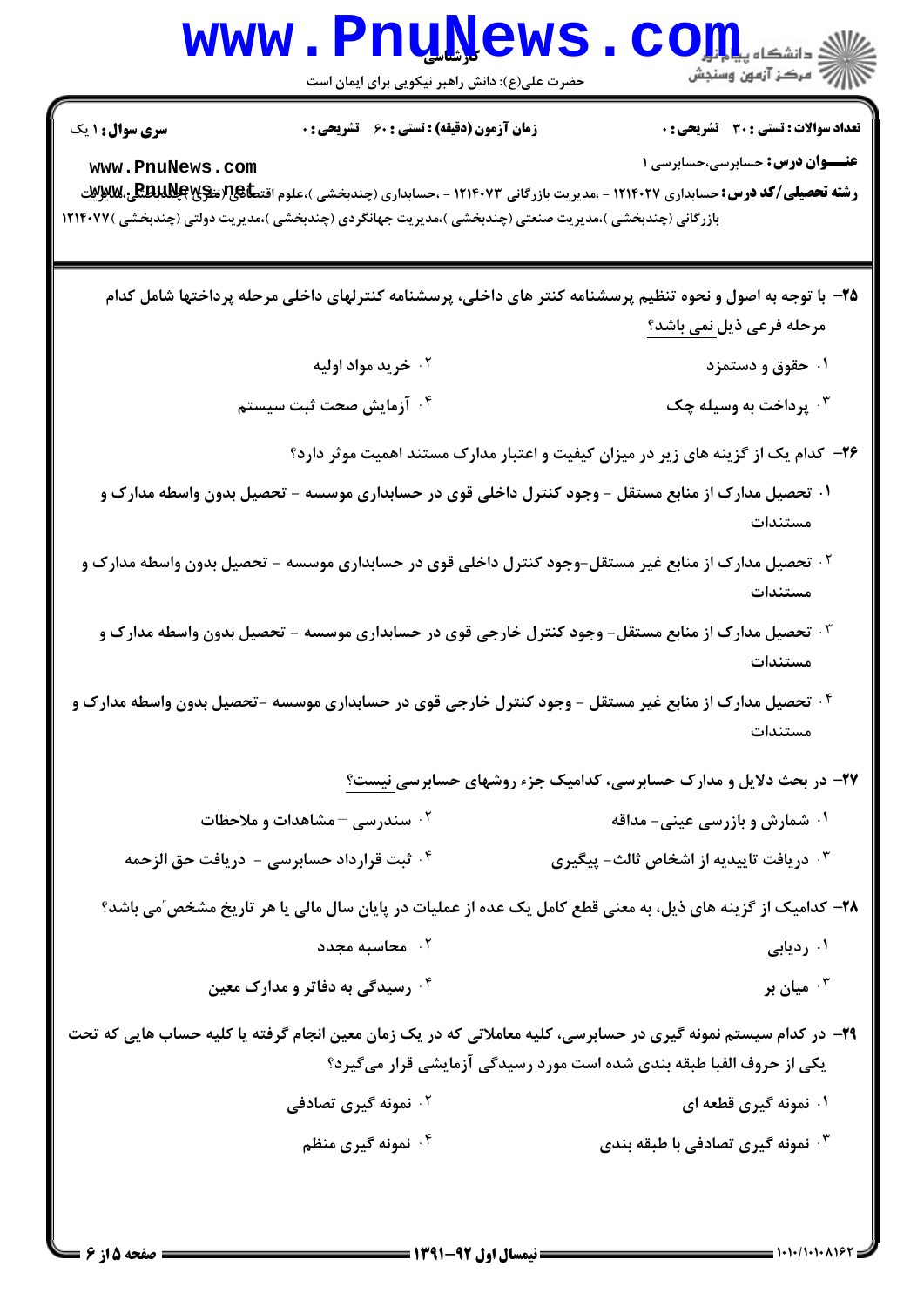|                                                                                                                                                    | www.PnuNews<br>حضرت علی(ع): دانش راهبر نیکویی برای ایمان است                                                                                                                                |                                                                      |                                                                                        |
|----------------------------------------------------------------------------------------------------------------------------------------------------|---------------------------------------------------------------------------------------------------------------------------------------------------------------------------------------------|----------------------------------------------------------------------|----------------------------------------------------------------------------------------|
| <b>سری سوال : ۱ یک</b><br>www.PnuNews.com<br>بازرگانی (چندبخشی )،مدیریت صنعتی (چندبخشی )،مدیریت جهانگردی (چندبخشی )،مدیریت دولتی (چندبخشی )۱۲۱۴۰۷۷ | زمان آزمون (دقیقه) : تستی : 60 ٪ تشریحی : 0<br><b>رشته تحصیلی/کد درس:</b> حسابداری ۱۲۱۴۰۲۷ - ،مدیریت بازرگانی ۱۲۱۴۰۷۳ - ،حسابداری (چندبخشی )،علوم اقت <b>طا&amp;ت(تنگلاباتلگی،للابلات</b> ی |                                                                      | <b>تعداد سوالات : تستی : 30 ٪ تشریحی : 0</b><br><b>عنـــوان درس:</b> حسابرسي،حسابرسي 1 |
|                                                                                                                                                    | ۲۵– با توجه به اصول و نحوه تنظیم پرسشنامه کنتر های داخلی، پرسشنامه کنترلهای داخلی مرحله پرداختها شامل کدام                                                                                  |                                                                      | مرحله فرعی ذیل نمی باشد؟                                                               |
|                                                                                                                                                    | ۰۲ خرید مواد اولیه                                                                                                                                                                          |                                                                      | ۰۱ حقوق و دستمزد                                                                       |
|                                                                                                                                                    | ۰۴ آزمایش صحت ثبت سیستم                                                                                                                                                                     |                                                                      | ۰۳ پرداخت به وسیله چک                                                                  |
|                                                                                                                                                    | ۲۶- کدام یک از گزینه های زیر در میزان کیفیت و اعتبار مدارک مستند اهمیت موثر دارد؟                                                                                                           |                                                                      |                                                                                        |
|                                                                                                                                                    | ۰۱ تحصیل مدارک از منابع مستقل – وجود کنترل داخلی قوی در حسابداری موسسه – تحصیل بدون واسطه مدارک و                                                                                           |                                                                      | مستندات                                                                                |
|                                                                                                                                                    | <sup>۲ .</sup> تحصیل مدارک از منابع غیر مستقل-وجود کنترل داخلی قوی در حسابداری موسسه - تحصیل بدون واسطه مدارک و                                                                             |                                                                      | مستندات                                                                                |
|                                                                                                                                                    | ۰ <sup>۳ ت</sup> حصیل مدارک از منابع مستقل- وجود کنترل خارجی قوی در حسابداری موسسه - تحصیل بدون واسطه مدارک و                                                                               |                                                                      | مستندات                                                                                |
|                                                                                                                                                    | <sup>۴ .</sup> تحصیل مدارک از منابع غیر مستقل - وجود کنترل خارجی قوی در حسابداری موسسه -تحصیل بدون واسطه مدارک و                                                                            |                                                                      | مستندات                                                                                |
|                                                                                                                                                    |                                                                                                                                                                                             | ۲۷- در بحث دلایل و مدارک حسابرسی، کدامیک جزء روشهای حسابرسی نیست؟    |                                                                                        |
|                                                                                                                                                    | ۰۲ سندرسی - مشاهدات و ملاحظات                                                                                                                                                               |                                                                      | <b>۱. شمارش و بازرسی عینی- مداقه</b>                                                   |
| ۰ <sup>۴ .</sup> ثبت قرارداد حسابرسی - دریافت حق الزحمه                                                                                            |                                                                                                                                                                                             | دریافت تاییدیه از اشخاص ثالث- پیگیری $\cdot^{\texttt{w}}$            |                                                                                        |
|                                                                                                                                                    | ۲۸– کدامیک از گزینه های ذیل، به معنی قطع کامل یک عده از عملیات در پایان سال مالی یا هر تاریخ مشخص″می باشد؟                                                                                  |                                                                      |                                                                                        |
|                                                                                                                                                    | ۰ <sup>۲</sup> محاسبه مجدد                                                                                                                                                                  |                                                                      | ۰۱ ردیابی                                                                              |
|                                                                                                                                                    | ۰۴ رسیدگی به دفاتر و مدارک معین                                                                                                                                                             |                                                                      | ميان بر $\cdot$ $^{\mathsf{r}}$                                                        |
| ۲۹- در کدام سیستم نمونه گیری در حسابرسی، کلیه معاملاتی که در یک زمان معین انجام گرفته یا کلیه حساب هایی که تحت                                     |                                                                                                                                                                                             | یکی از حروف الفبا طبقه بندی شده است مورد رسیدگی آزمایشی قرار میگیرد؟ |                                                                                        |
|                                                                                                                                                    | <sup>7</sup> ۰ نمونه گیری تصادفی                                                                                                                                                            |                                                                      | ۰۱ نمونه گیری قطعه ای                                                                  |
|                                                                                                                                                    | ۰۴ نمونه گیری منظم                                                                                                                                                                          |                                                                      | ۰ <sup>۳</sup> نمونه گیری تصادفی با طبقه بندی                                          |